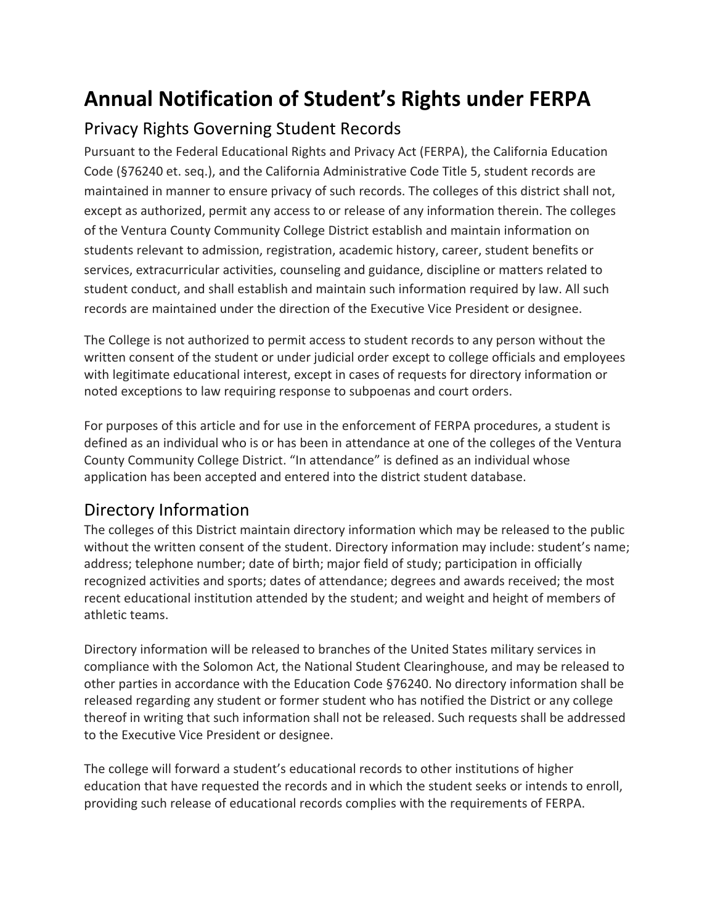## **Annual Notification of Student's Rights under FERPA**

## Privacy Rights Governing Student Records

Pursuant to the Federal Educational Rights and Privacy Act (FERPA), the California Education Code (§76240 et. seq.), and the California Administrative Code Title 5, student records are maintained in manner to ensure privacy of such records. The colleges of this district shall not, except as authorized, permit any access to or release of any information therein. The colleges of the Ventura County Community College District establish and maintain information on students relevant to admission, registration, academic history, career, student benefits or services, extracurricular activities, counseling and guidance, discipline or matters related to student conduct, and shall establish and maintain such information required by law. All such records are maintained under the direction of the Executive Vice President or designee.

The College is not authorized to permit access to student records to any person without the written consent of the student or under judicial order except to college officials and employees with legitimate educational interest, except in cases of requests for directory information or noted exceptions to law requiring response to subpoenas and court orders.

For purposes of this article and for use in the enforcement of FERPA procedures, a student is defined as an individual who is or has been in attendance at one of the colleges of the Ventura County Community College District. "In attendance" is defined as an individual whose application has been accepted and entered into the district student database.

## Directory Information

The colleges of this District maintain directory information which may be released to the public without the written consent of the student. Directory information may include: student's name; address; telephone number; date of birth; major field of study; participation in officially recognized activities and sports; dates of attendance; degrees and awards received; the most recent educational institution attended by the student; and weight and height of members of athletic teams.

Directory information will be released to branches of the United States military services in compliance with the Solomon Act, the National Student Clearinghouse, and may be released to other parties in accordance with the Education Code §76240. No directory information shall be released regarding any student or former student who has notified the District or any college thereof in writing that such information shall not be released. Such requests shall be addressed to the Executive Vice President or designee.

The college will forward a student's educational records to other institutions of higher education that have requested the records and in which the student seeks or intends to enroll, providing such release of educational records complies with the requirements of FERPA.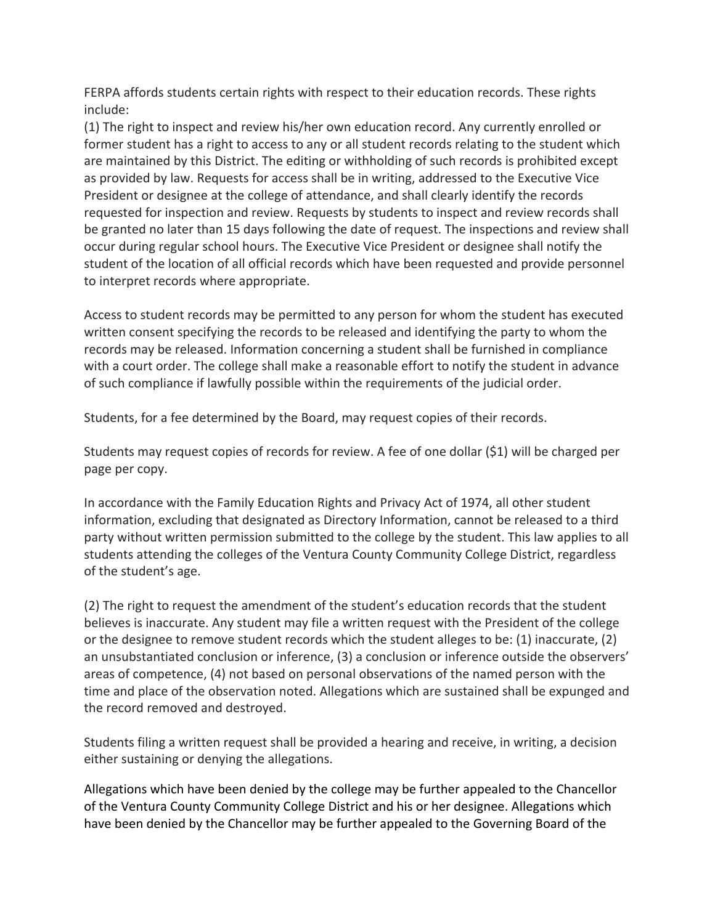FERPA affords students certain rights with respect to their education records. These rights include:

(1) The right to inspect and review his/her own education record. Any currently enrolled or former student has a right to access to any or all student records relating to the student which are maintained by this District. The editing or withholding of such records is prohibited except as provided by law. Requests for access shall be in writing, addressed to the Executive Vice President or designee at the college of attendance, and shall clearly identify the records requested for inspection and review. Requests by students to inspect and review records shall be granted no later than 15 days following the date of request. The inspections and review shall occur during regular school hours. The Executive Vice President or designee shall notify the student of the location of all official records which have been requested and provide personnel to interpret records where appropriate.

Access to student records may be permitted to any person for whom the student has executed written consent specifying the records to be released and identifying the party to whom the records may be released. Information concerning a student shall be furnished in compliance with a court order. The college shall make a reasonable effort to notify the student in advance of such compliance if lawfully possible within the requirements of the judicial order.

Students, for a fee determined by the Board, may request copies of their records.

Students may request copies of records for review. A fee of one dollar (\$1) will be charged per page per copy.

In accordance with the Family Education Rights and Privacy Act of 1974, all other student information, excluding that designated as Directory Information, cannot be released to a third party without written permission submitted to the college by the student. This law applies to all students attending the colleges of the Ventura County Community College District, regardless of the student's age.

(2) The right to request the amendment of the student's education records that the student believes is inaccurate. Any student may file a written request with the President of the college or the designee to remove student records which the student alleges to be: (1) inaccurate, (2) an unsubstantiated conclusion or inference, (3) a conclusion or inference outside the observers' areas of competence, (4) not based on personal observations of the named person with the time and place of the observation noted. Allegations which are sustained shall be expunged and the record removed and destroyed.

Students filing a written request shall be provided a hearing and receive, in writing, a decision either sustaining or denying the allegations.

Allegations which have been denied by the college may be further appealed to the Chancellor of the Ventura County Community College District and his or her designee. Allegations which have been denied by the Chancellor may be further appealed to the Governing Board of the